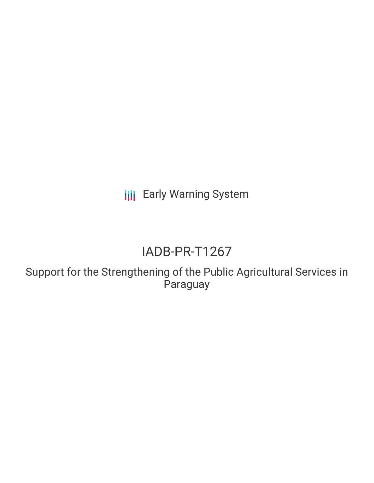**III** Early Warning System

# IADB-PR-T1267

Support for the Strengthening of the Public Agricultural Services in Paraguay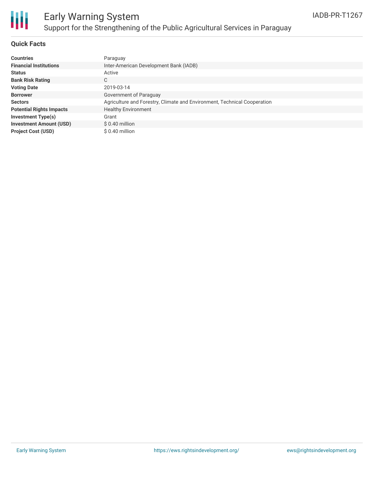

## Early Warning System Support for the Strengthening of the Public Agricultural Services in Paraguay

#### **Quick Facts**

| <b>Countries</b>                | Paraguay                                                                 |
|---------------------------------|--------------------------------------------------------------------------|
| <b>Financial Institutions</b>   | Inter-American Development Bank (IADB)                                   |
| <b>Status</b>                   | Active                                                                   |
| <b>Bank Risk Rating</b>         | С                                                                        |
| <b>Voting Date</b>              | 2019-03-14                                                               |
| <b>Borrower</b>                 | Government of Paraguay                                                   |
| <b>Sectors</b>                  | Agriculture and Forestry, Climate and Environment, Technical Cooperation |
| <b>Potential Rights Impacts</b> | <b>Healthy Environment</b>                                               |
| <b>Investment Type(s)</b>       | Grant                                                                    |
| <b>Investment Amount (USD)</b>  | $$0.40$ million                                                          |
| <b>Project Cost (USD)</b>       | $$0.40$ million                                                          |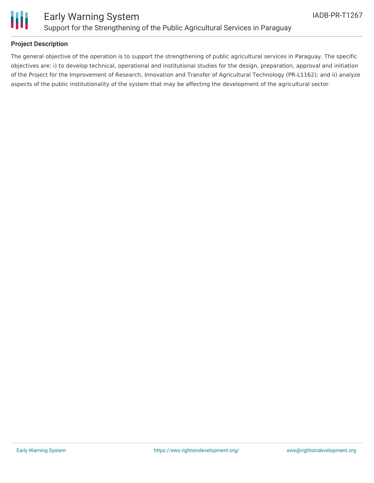

#### **Project Description**

The general objective of the operation is to support the strengthening of public agricultural services in Paraguay. The specific objectives are: i) to develop technical, operational and institutional studies for the design, preparation, approval and initiation of the Project for the Improvement of Research, Innovation and Transfer of Agricultural Technology (PR-L1162); and ii) analyze aspects of the public institutionality of the system that may be affecting the development of the agricultural sector.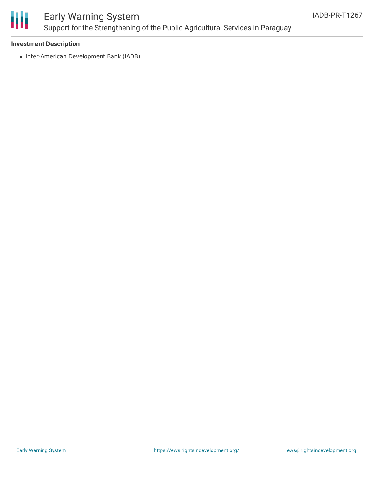

### Early Warning System Support for the Strengthening of the Public Agricultural Services in Paraguay

#### **Investment Description**

• Inter-American Development Bank (IADB)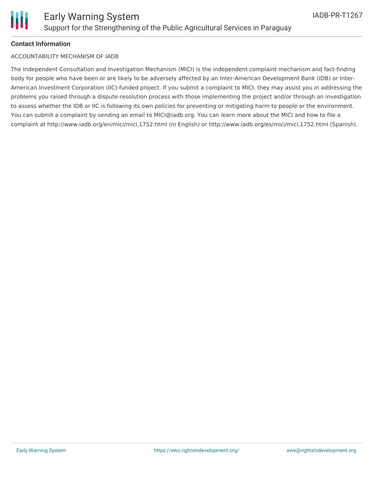

#### **Contact Information**

#### ACCOUNTABILITY MECHANISM OF IADB

The Independent Consultation and Investigation Mechanism (MICI) is the independent complaint mechanism and fact-finding body for people who have been or are likely to be adversely affected by an Inter-American Development Bank (IDB) or Inter-American Investment Corporation (IIC)-funded project. If you submit a complaint to MICI, they may assist you in addressing the problems you raised through a dispute-resolution process with those implementing the project and/or through an investigation to assess whether the IDB or IIC is following its own policies for preventing or mitigating harm to people or the environment. You can submit a complaint by sending an email to MICI@iadb.org. You can learn more about the MICI and how to file a complaint at http://www.iadb.org/en/mici/mici,1752.html (in English) or http://www.iadb.org/es/mici/mici,1752.html (Spanish).